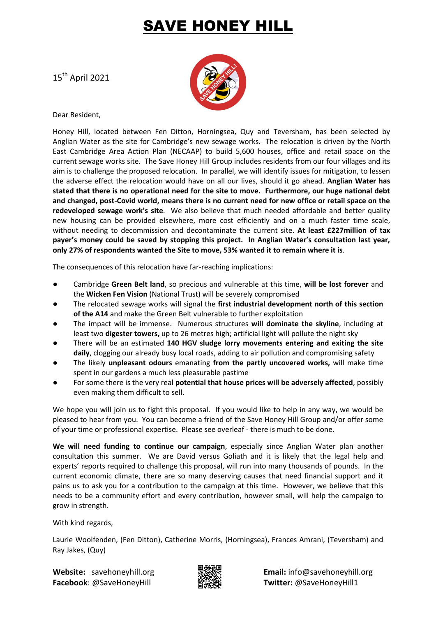## AVE HONEY HILL

15 th April 2021



Dear Resident,

Honey Hill, located between Fen Ditton, Horningsea, Quy and Teversham, has been selected by Anglian Water as the site for Cambridge's new sewage works. The relocation is driven by the North East Cambridge Area Action Plan (NECAAP) to build 5,600 houses, office and retail space on the current sewage works site. The Save Honey Hill Group includes residents from our four villages and its aim is to challenge the proposed relocation. In parallel, we will identify issues for mitigation, to lessen the adverse effect the relocation would have on all our lives, should it go ahead. **Anglian Water has stated that there is no operational need for the site to move. Furthermore, our huge national debt and changed, post-Covid world, means there is no current need for new office or retail space on the redeveloped sewage work's site**. We also believe that much needed affordable and better quality new housing can be provided elsewhere, more cost efficiently and on a much faster time scale, without needing to decommission and decontaminate the current site. **At least £227million of tax payer's money could be saved by stopping this project. In Anglian Water's consultation last year, only 27% of respondents wanted the Site to move, 53% wanted it to remain where it is**.

The consequences of this relocation have far-reaching implications:

- Cambridge **Green Belt land**, so precious and vulnerable at this time, **will be lost forever** and the **Wicken Fen Vision** (National Trust) will be severely compromised
- The relocated sewage works will signal the **first industrial development north of this section of the A14** and make the Green Belt vulnerable to further exploitation
- The impact will be immense. Numerous structures **will dominate the skyline**, including at least two **digester towers,** up to 26 metres high; artificial light will pollute the night sky
- There will be an estimated **140 HGV sludge lorry movements entering and exiting the site daily**, clogging our already busy local roads, adding to air pollution and compromising safety
- The likely **unpleasant odours** emanating **from the partly uncovered works,** will make time spent in our gardens a much less pleasurable pastime
- For some there is the very real **potential that house prices will be adversely affected**, possibly even making them difficult to sell.

We hope you will join us to fight this proposal. If you would like to help in any way, we would be pleased to hear from you. You can become a friend of the Save Honey Hill Group and/or offer some of your time or professional expertise. Please see overleaf - there is much to be done.

**We will need funding to continue our campaign**, especially since Anglian Water plan another consultation this summer. We are David versus Goliath and it is likely that the legal help and experts' reports required to challenge this proposal, will run into many thousands of pounds. In the current economic climate, there are so many deserving causes that need financial support and it pains us to ask you for a contribution to the campaign at this time. However, we believe that this needs to be a community effort and every contribution, however small, will help the campaign to grow in strength.

With kind regards,

Laurie Woolfenden, (Fen Ditton), Catherine Morris, (Horningsea), Frances Amrani, (Teversham) and Ray Jakes, (Quy)

**Facebook**: @SaveHoneyHill **Twitter:** @SaveHoneyHill1



**Website:** savehoneyhill.org **Email:** info@savehoneyhill.org